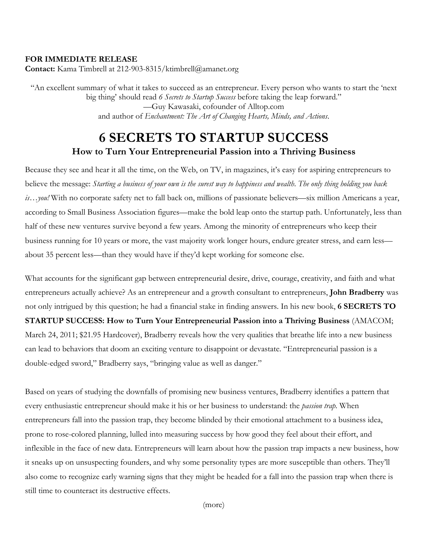#### **FOR IMMEDIATE RELEASE**

**Contact:** Kama Timbrell at 212-903-8315/ktimbrell@amanet.org

"An excellent summary of what it takes to succeed as an entrepreneur. Every person who wants to start the 'next big thing' should read *6 Secrets to Startup Success* before taking the leap forward." —Guy Kawasaki, cofounder of Alltop.com and author of *Enchantment: The Art of Changing Hearts, Minds, and Actions*.

# **6 SECRETS TO STARTUP SUCCESS How to Turn Your Entrepreneurial Passion into a Thriving Business**

Because they see and hear it all the time, on the Web, on TV, in magazines, it's easy for aspiring entrepreneurs to believe the message: *Starting a business of your own is the surest way to happiness and wealth*. *The only thing holding you back is…you!* With no corporate safety net to fall back on, millions of passionate believers—six million Americans a year, according to Small Business Association figures—make the bold leap onto the startup path. Unfortunately, less than half of these new ventures survive beyond a few years. Among the minority of entrepreneurs who keep their business running for 10 years or more, the vast majority work longer hours, endure greater stress, and earn less about 35 percent less—than they would have if they'd kept working for someone else.

What accounts for the significant gap between entrepreneurial desire, drive, courage, creativity, and faith and what entrepreneurs actually achieve? As an entrepreneur and a growth consultant to entrepreneurs, **John Bradberry** was not only intrigued by this question; he had a financial stake in finding answers. In his new book, **6 SECRETS TO STARTUP SUCCESS: How to Turn Your Entrepreneurial Passion into a Thriving Business** (AMACOM; March 24, 2011; \$21.95 Hardcover), Bradberry reveals how the very qualities that breathe life into a new business can lead to behaviors that doom an exciting venture to disappoint or devastate. "Entrepreneurial passion is a double-edged sword," Bradberry says, "bringing value as well as danger."

Based on years of studying the downfalls of promising new business ventures, Bradberry identifies a pattern that every enthusiastic entrepreneur should make it his or her business to understand: the *passion trap*. When entrepreneurs fall into the passion trap, they become blinded by their emotional attachment to a business idea, prone to rose-colored planning, lulled into measuring success by how good they feel about their effort, and inflexible in the face of new data. Entrepreneurs will learn about how the passion trap impacts a new business, how it sneaks up on unsuspecting founders, and why some personality types are more susceptible than others. They'll also come to recognize early warning signs that they might be headed for a fall into the passion trap when there is still time to counteract its destructive effects.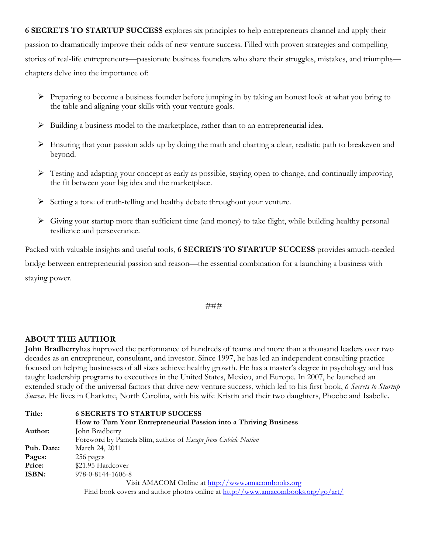**6 SECRETS TO STARTUP SUCCESS** explores six principles to help entrepreneurs channel and apply their passion to dramatically improve their odds of new venture success. Filled with proven strategies and compelling stories of real-life entrepreneurs—passionate business founders who share their struggles, mistakes, and triumphs chapters delve into the importance of:

- ! Preparing to become a business founder before jumping in by taking an honest look at what you bring to the table and aligning your skills with your venture goals.
- $\triangleright$  Building a business model to the marketplace, rather than to an entrepreneurial idea.
- $\triangleright$  Ensuring that your passion adds up by doing the math and charting a clear, realistic path to breakeven and beyond.
- $\triangleright$  Testing and adapting your concept as early as possible, staying open to change, and continually improving the fit between your big idea and the marketplace.
- ! Setting a tone of truth-telling and healthy debate throughout your venture.
- $\triangleright$  Giving your startup more than sufficient time (and money) to take flight, while building healthy personal resilience and perseverance.

Packed with valuable insights and useful tools, **6 SECRETS TO STARTUP SUCCESS** provides amuch-needed bridge between entrepreneurial passion and reason—the essential combination for a launching a business with staying power.

#### ###

#### **ABOUT THE AUTHOR**

**John Bradberry**has improved the performance of hundreds of teams and more than a thousand leaders over two decades as an entrepreneur, consultant, and investor. Since 1997, he has led an independent consulting practice focused on helping businesses of all sizes achieve healthy growth. He has a master's degree in psychology and has taught leadership programs to executives in the United States, Mexico, and Europe. In 2007, he launched an extended study of the universal factors that drive new venture success, which led to his first book, *6 Secrets to Startup Success*. He lives in Charlotte, North Carolina, with his wife Kristin and their two daughters, Phoebe and Isabelle.

| Title:     | <b>6 SECRETS TO STARTUP SUCCESS</b>                                             |
|------------|---------------------------------------------------------------------------------|
|            | How to Turn Your Entrepreneurial Passion into a Thriving Business               |
| Author:    | John Bradberry                                                                  |
|            | Foreword by Pamela Slim, author of Escape from Cubicle Nation                   |
| Pub. Date: | March 24, 2011                                                                  |
| Pages:     | 256 pages                                                                       |
| Price:     | \$21.95 Hardcover                                                               |
| ISBN:      | 978-0-8144-1606-8                                                               |
|            | Visit AMACOM Online at http://www.amacombooks.org                               |
|            | Find book covers and author photos online at http://www.amacombooks.org/go/art/ |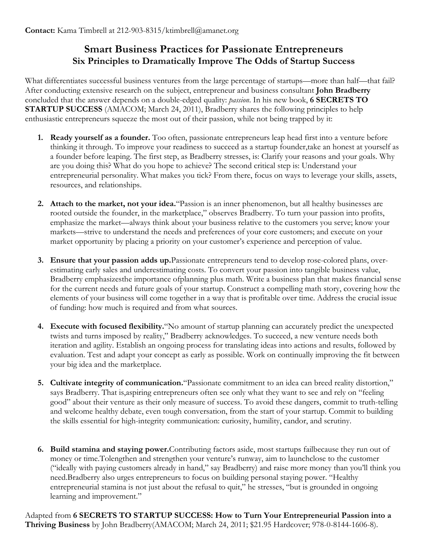# **Smart Business Practices for Passionate Entrepreneurs Six Principles to Dramatically Improve The Odds of Startup Success**

What differentiates successful business ventures from the large percentage of startups—more than half—that fail? After conducting extensive research on the subject, entrepreneur and business consultant **John Bradberry** concluded that the answer depends on a double-edged quality: *passion*. In his new book, **6 SECRETS TO STARTUP SUCCESS** (AMACOM; March 24, 2011), Bradberry shares the following principles to help enthusiastic entrepreneurs squeeze the most out of their passion, while not being trapped by it:

- **1. Ready yourself as a founder.** Too often, passionate entrepreneurs leap head first into a venture before thinking it through. To improve your readiness to succeed as a startup founder,take an honest at yourself as a founder before leaping. The first step, as Bradberry stresses, is: Clarify your reasons and your goals. Why are you doing this? What do you hope to achieve? The second critical step is: Understand your entrepreneurial personality. What makes you tick? From there, focus on ways to leverage your skills, assets, resources, and relationships.
- **2. Attach to the market, not your idea.**"Passion is an inner phenomenon, but all healthy businesses are rooted outside the founder, in the marketplace," observes Bradberry. To turn your passion into profits, emphasize the market—always think about your business relative to the customers you serve; know your markets—strive to understand the needs and preferences of your core customers; and execute on your market opportunity by placing a priority on your customer's experience and perception of value.
- **3. Ensure that your passion adds up.**Passionate entrepreneurs tend to develop rose-colored plans, overestimating early sales and underestimating costs. To convert your passion into tangible business value, Bradberry emphasizesthe importance ofplanning plus math. Write a business plan that makes financial sense for the current needs and future goals of your startup. Construct a compelling math story, covering how the elements of your business will come together in a way that is profitable over time. Address the crucial issue of funding: how much is required and from what sources.
- **4. Execute with focused flexibility.**"No amount of startup planning can accurately predict the unexpected twists and turns imposed by reality," Bradberry acknowledges. To succeed, a new venture needs both iteration and agility. Establish an ongoing process for translating ideas into actions and results, followed by evaluation. Test and adapt your concept as early as possible. Work on continually improving the fit between your big idea and the marketplace.
- **5. Cultivate integrity of communication.**"Passionate commitment to an idea can breed reality distortion," says Bradberry. That is,aspiring entrepreneurs often see only what they want to see and rely on "feeling good" about their venture as their only measure of success. To avoid these dangers, commit to truth-telling and welcome healthy debate, even tough conversation, from the start of your startup. Commit to building the skills essential for high-integrity communication: curiosity, humility, candor, and scrutiny.
- **6. Build stamina and staying power.**Contributing factors aside, most startups failbecause they run out of money or time.Tolengthen and strengthen your venture's runway, aim to launchclose to the customer ("ideally with paying customers already in hand," say Bradberry) and raise more money than you'll think you need.Bradberry also urges entrepreneurs to focus on building personal staying power. "Healthy entrepreneurial stamina is not just about the refusal to quit," he stresses, "but is grounded in ongoing learning and improvement."

Adapted from **6 SECRETS TO STARTUP SUCCESS: How to Turn Your Entrepreneurial Passion into a Thriving Business** by John Bradberry(AMACOM; March 24, 2011; \$21.95 Hardcover; 978-0-8144-1606-8).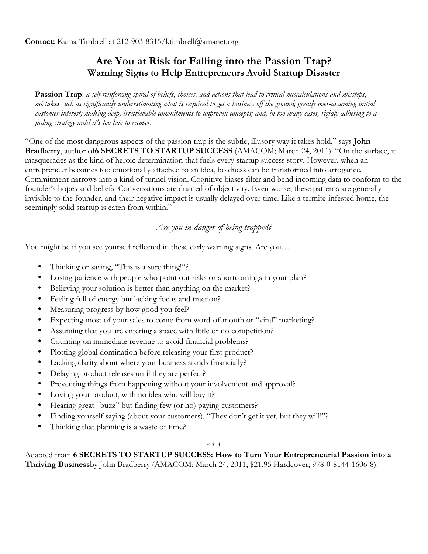# **Are You at Risk for Falling into the Passion Trap? Warning Signs to Help Entrepreneurs Avoid Startup Disaster**

**Passion Trap**: *a self-reinforcing spiral of beliefs, choices, and actions that lead to critical miscalculations and missteps, mistakes such as significantly underestimating what is required to get a business off the ground; greatly over-assuming initial customer interest; making deep, irretrievable commitments to unproven concepts; and, in too many cases, rigidly adhering to a failing strategy until it's too late to recover*.

"One of the most dangerous aspects of the passion trap is the subtle, illusory way it takes hold," says **John Bradberry**, author of**6 SECRETS TO STARTUP SUCCESS** (AMACOM; March 24, 2011). "On the surface, it masquerades as the kind of heroic determination that fuels every startup success story. However, when an entrepreneur becomes too emotionally attached to an idea, boldness can be transformed into arrogance. Commitment narrows into a kind of tunnel vision. Cognitive biases filter and bend incoming data to conform to the founder's hopes and beliefs. Conversations are drained of objectivity. Even worse, these patterns are generally invisible to the founder, and their negative impact is usually delayed over time. Like a termite-infested home, the seemingly solid startup is eaten from within."

## *Are you in danger of being trapped?*

You might be if you see yourself reflected in these early warning signs. Are you...

- Thinking or saying, "This is a sure thing!"?
- Losing patience with people who point out risks or shortcomings in your plan?
- Believing your solution is better than anything on the market?
- Feeling full of energy but lacking focus and traction?
- Measuring progress by how good you feel?
- Expecting most of your sales to come from word-of-mouth or "viral" marketing?
- Assuming that you are entering a space with little or no competition?
- Counting on immediate revenue to avoid financial problems?
- Plotting global domination before releasing your first product?
- Lacking clarity about where your business stands financially?
- Delaying product releases until they are perfect?
- Preventing things from happening without your involvement and approval?
- Loving your product, with no idea who will buy it?
- Hearing great "buzz" but finding few (or no) paying customers?
- Finding yourself saying (about your customers), "They don't get it yet, but they will!"?
- Thinking that planning is a waste of time?

#### \* \* \*

Adapted from **6 SECRETS TO STARTUP SUCCESS: How to Turn Your Entrepreneurial Passion into a Thriving Business**by John Bradberry (AMACOM; March 24, 2011; \$21.95 Hardcover; 978-0-8144-1606-8).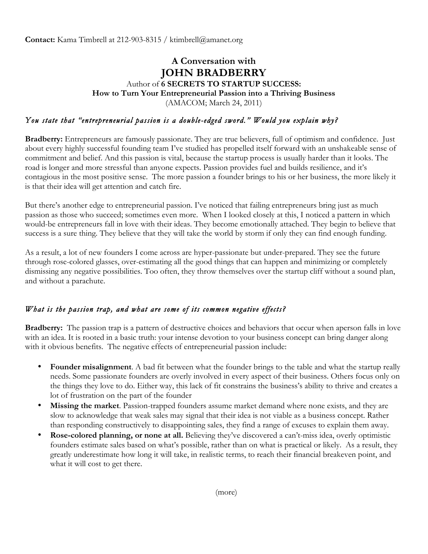**Contact:** Kama Timbrell at 212-903-8315 / ktimbrell@amanet.org

## **A Conversation with JOHN BRADBERRY** Author of **6 SECRETS TO STARTUP SUCCESS: How to Turn Your Entrepreneurial Passion into a Thriving Business**  (AMACOM; March 24, 2011)

## *You state that "entrepreneurial passion is a double-edged sword." Would you explain why?*

**Bradberry:** Entrepreneurs are famously passionate. They are true believers, full of optimism and confidence. Just about every highly successful founding team I've studied has propelled itself forward with an unshakeable sense of commitment and belief. And this passion is vital, because the startup process is usually harder than it looks. The road is longer and more stressful than anyone expects. Passion provides fuel and builds resilience, and it's contagious in the most positive sense. The more passion a founder brings to his or her business, the more likely it is that their idea will get attention and catch fire.

But there's another edge to entrepreneurial passion. I've noticed that failing entrepreneurs bring just as much passion as those who succeed; sometimes even more. When I looked closely at this, I noticed a pattern in which would-be entrepreneurs fall in love with their ideas. They become emotionally attached. They begin to believe that success is a sure thing. They believe that they will take the world by storm if only they can find enough funding.

As a result, a lot of new founders I come across are hyper-passionate but under-prepared. They see the future through rose-colored glasses, over-estimating all the good things that can happen and minimizing or completely dismissing any negative possibilities. Too often, they throw themselves over the startup cliff without a sound plan, and without a parachute.

### *What is the passion trap, and what are some of its common negative effects?*

**Bradberry:** The passion trap is a pattern of destructive choices and behaviors that occur when aperson falls in love with an idea. It is rooted in a basic truth: your intense devotion to your business concept can bring danger along with it obvious benefits. The negative effects of entrepreneurial passion include:

- **Founder misalignment**. A bad fit between what the founder brings to the table and what the startup really needs. Some passionate founders are overly involved in every aspect of their business. Others focus only on the things they love to do. Either way, this lack of fit constrains the business's ability to thrive and creates a lot of frustration on the part of the founder
- **Missing the market**. Passion-trapped founders assume market demand where none exists, and they are slow to acknowledge that weak sales may signal that their idea is not viable as a business concept. Rather than responding constructively to disappointing sales, they find a range of excuses to explain them away.
- **Rose-colored planning, or none at all.** Believing they've discovered a can't-miss idea, overly optimistic founders estimate sales based on what's possible, rather than on what is practical or likely. As a result, they greatly underestimate how long it will take, in realistic terms, to reach their financial breakeven point, and what it will cost to get there.

(more)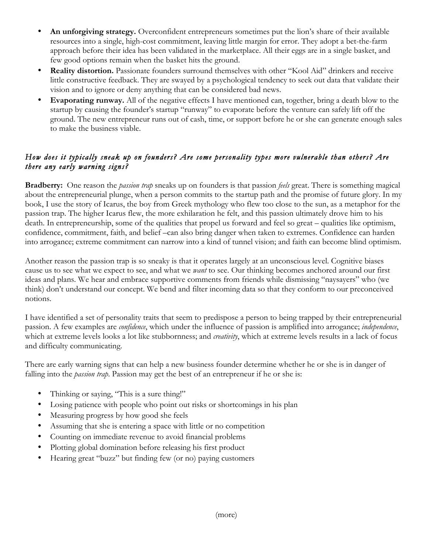- **An unforgiving strategy.** Overconfident entrepreneurs sometimes put the lion's share of their available resources into a single, high-cost commitment, leaving little margin for error. They adopt a bet-the-farm approach before their idea has been validated in the marketplace. All their eggs are in a single basket, and few good options remain when the basket hits the ground.
- **Reality distortion.** Passionate founders surround themselves with other "Kool Aid" drinkers and receive little constructive feedback. They are swayed by a psychological tendency to seek out data that validate their vision and to ignore or deny anything that can be considered bad news.
- **Evaporating runway.** All of the negative effects I have mentioned can, together, bring a death blow to the startup by causing the founder's startup "runway" to evaporate before the venture can safely lift off the ground. The new entrepreneur runs out of cash, time, or support before he or she can generate enough sales to make the business viable.

## *How does it typically sneak up on founders? Are some personality types more vulnerable than others? Are there any early warning signs?*

**Bradberry:** One reason the *passion trap* sneaks up on founders is that passion *feels* great. There is something magical about the entrepreneurial plunge, when a person commits to the startup path and the promise of future glory. In my book, I use the story of Icarus, the boy from Greek mythology who flew too close to the sun, as a metaphor for the passion trap. The higher Icarus flew, the more exhilaration he felt, and this passion ultimately drove him to his death. In entrepreneurship, some of the qualities that propel us forward and feel so great – qualities like optimism, confidence, commitment, faith, and belief –can also bring danger when taken to extremes. Confidence can harden into arrogance; extreme commitment can narrow into a kind of tunnel vision; and faith can become blind optimism.

Another reason the passion trap is so sneaky is that it operates largely at an unconscious level. Cognitive biases cause us to see what we expect to see, and what we *want* to see. Our thinking becomes anchored around our first ideas and plans. We hear and embrace supportive comments from friends while dismissing "naysayers" who (we think) don't understand our concept. We bend and filter incoming data so that they conform to our preconceived notions.

I have identified a set of personality traits that seem to predispose a person to being trapped by their entrepreneurial passion. A few examples are *confidence*, which under the influence of passion is amplified into arrogance; *independence*, which at extreme levels looks a lot like stubbornness; and *creativity*, which at extreme levels results in a lack of focus and difficulty communicating.

There are early warning signs that can help a new business founder determine whether he or she is in danger of falling into the *passion trap*. Passion may get the best of an entrepreneur if he or she is:

- Thinking or saying, "This is a sure thing!"
- Losing patience with people who point out risks or shortcomings in his plan
- Measuring progress by how good she feels
- Assuming that she is entering a space with little or no competition
- Counting on immediate revenue to avoid financial problems
- Plotting global domination before releasing his first product
- Hearing great "buzz" but finding few (or no) paying customers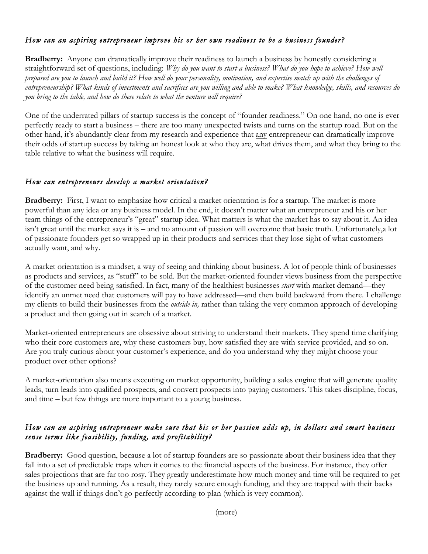### *How can an aspiring entrepreneur improve his or her own readiness to be a business founder?*

**Bradberry:** Anyone can dramatically improve their readiness to launch a business by honestly considering a straightforward set of questions, including: *Why do you want to start a business? What do you hope to achieve? How well prepared are you to launch and build it? How well do your personality, motivation, and expertise match up with the challenges of entrepreneurship? What kinds of investments and sacrifices are you willing and able to make? What knowledge, skills, and resources do you bring to the table, and how do these relate to what the venture will require?*

One of the underrated pillars of startup success is the concept of "founder readiness." On one hand, no one is ever perfectly ready to start a business – there are too many unexpected twists and turns on the startup road. But on the other hand, it's abundantly clear from my research and experience that any entrepreneur can dramatically improve their odds of startup success by taking an honest look at who they are, what drives them, and what they bring to the table relative to what the business will require.

#### *How can entrepreneurs develop a market orientation?*

**Bradberry:** First, I want to emphasize how critical a market orientation is for a startup. The market is more powerful than any idea or any business model. In the end, it doesn't matter what an entrepreneur and his or her team things of the entrepreneur's "great" startup idea. What matters is what the market has to say about it. An idea isn't great until the market says it is – and no amount of passion will overcome that basic truth. Unfortunately,a lot of passionate founders get so wrapped up in their products and services that they lose sight of what customers actually want, and why.

A market orientation is a mindset, a way of seeing and thinking about business. A lot of people think of businesses as products and services, as "stuff" to be sold. But the market-oriented founder views business from the perspective of the customer need being satisfied. In fact, many of the healthiest businesses *start* with market demand—they identify an unmet need that customers will pay to have addressed—and then build backward from there. I challenge my clients to build their businesses from the *outside-in,* rather than taking the very common approach of developing a product and then going out in search of a market.

Market-oriented entrepreneurs are obsessive about striving to understand their markets. They spend time clarifying who their core customers are, why these customers buy, how satisfied they are with service provided, and so on. Are you truly curious about your customer's experience, and do you understand why they might choose your product over other options?

A market-orientation also means executing on market opportunity, building a sales engine that will generate quality leads, turn leads into qualified prospects, and convert prospects into paying customers. This takes discipline, focus, and time – but few things are more important to a young business.

#### *How can an aspiring entrepreneur make sure that his or her passion adds up, in dollars and smart business sense terms like feasibility, funding, and profitability?*

**Bradberry:** Good question, because a lot of startup founders are so passionate about their business idea that they fall into a set of predictable traps when it comes to the financial aspects of the business. For instance, they offer sales projections that are far too rosy. They greatly underestimate how much money and time will be required to get the business up and running. As a result, they rarely secure enough funding, and they are trapped with their backs against the wall if things don't go perfectly according to plan (which is very common).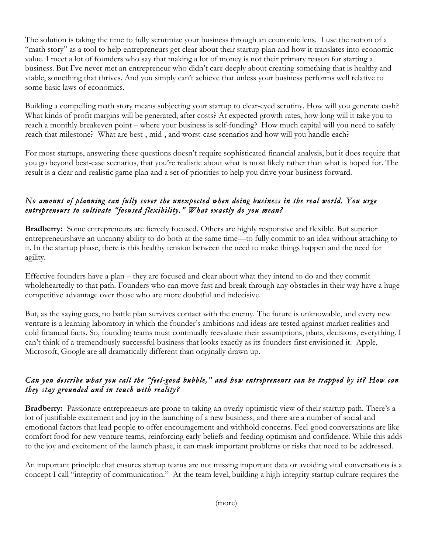The solution is taking the time to fully scrutinize your business through an economic lens. I use the notion of a "math story" as a tool to help entrepreneurs get clear about their startup plan and how it translates into economic value. I meet a lot of founders who say that making a lot of money is not their primary reason for starting a business. But I've never met an entrepreneur who didn't care deeply about creating something that is healthy and viable, something that thrives. And you simply can't achieve that unless your business performs well relative to some basic laws of economics.

Building a compelling math story means subjecting your startup to clear-eyed scrutiny. How will you generate cash? What kinds of profit margins will be generated, after costs? At expected growth rates, how long will it take you to reach a monthly breakeven point – where your business is self-funding? How much capital will you need to safely reach that milestone? What are best-, mid-, and worst-case scenarios and how will you handle each?

For most startups, answering these questions doesn't require sophisticated financial analysis, but it does require that you go beyond best-case scenarios, that you're realistic about what is most likely rather than what is hoped for. The result is a clear and realistic game plan and a set of priorities to help you drive your business forward.

### *No amount of planning can fully cover the unexpected when doing business in the real world. You urge entrepreneurs to cultivate "focused flexibility." What exactly do you mean?*

**Bradberry:** Some entrepreneurs are fiercely focused. Others are highly responsive and flexible. But superior entrepreneurshave an uncanny ability to do both at the same time—to fully commit to an idea without attaching to it. In the startup phase, there is this healthy tension between the need to make things happen and the need for agility.

Effective founders have a plan – they are focused and clear about what they intend to do and they commit wholeheartedly to that path. Founders who can move fast and break through any obstacles in their way have a huge competitive advantage over those who are more doubtful and indecisive.

But, as the saying goes, no battle plan survives contact with the enemy. The future is unknowable, and every new venture is a learning laboratory in which the founder's ambitions and ideas are tested against market realities and cold financial facts. So, founding teams must continually reevaluate their assumptions, plans, decisions, everything. I can't think of a tremendously successful business that looks exactly as its founders first envisioned it. Apple, Microsoft, Google are all dramatically different than originally drawn up.

## *Can you describe what you call the "feel-good bubble," and how entrepreneurs can be trapped by it? How can they stay grounded and in touch with reality?*

**Bradberry:** Passionate entrepreneurs are prone to taking an overly optimistic view of their startup path. There's a lot of justifiable excitement and joy in the launching of a new business, and there are a number of social and emotional factors that lead people to offer encouragement and withhold concerns. Feel-good conversations are like comfort food for new venture teams, reinforcing early beliefs and feeding optimism and confidence. While this adds to the joy and excitement of the launch phase, it can mask important problems or risks that need to be addressed.

An important principle that ensures startup teams are not missing important data or avoiding vital conversations is a concept I call "integrity of communication." At the team level, building a high-integrity startup culture requires the